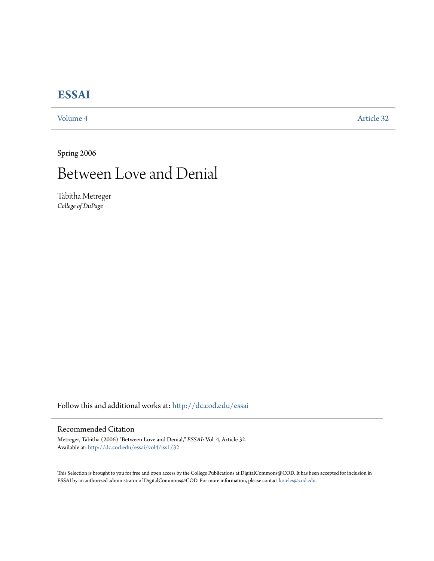## **[ESSAI](http://dc.cod.edu/essai?utm_source=dc.cod.edu%2Fessai%2Fvol4%2Fiss1%2F32&utm_medium=PDF&utm_campaign=PDFCoverPages)**

[Volume 4](http://dc.cod.edu/essai/vol4?utm_source=dc.cod.edu%2Fessai%2Fvol4%2Fiss1%2F32&utm_medium=PDF&utm_campaign=PDFCoverPages) [Article 32](http://dc.cod.edu/essai/vol4/iss1/32?utm_source=dc.cod.edu%2Fessai%2Fvol4%2Fiss1%2F32&utm_medium=PDF&utm_campaign=PDFCoverPages)

Spring 2006

# Between Love and Denial

Tabitha Metreger *College of DuPage*

Follow this and additional works at: [http://dc.cod.edu/essai](http://dc.cod.edu/essai?utm_source=dc.cod.edu%2Fessai%2Fvol4%2Fiss1%2F32&utm_medium=PDF&utm_campaign=PDFCoverPages)

#### Recommended Citation

Metreger, Tabitha (2006) "Between Love and Denial," *ESSAI*: Vol. 4, Article 32. Available at: [http://dc.cod.edu/essai/vol4/iss1/32](http://dc.cod.edu/essai/vol4/iss1/32?utm_source=dc.cod.edu%2Fessai%2Fvol4%2Fiss1%2F32&utm_medium=PDF&utm_campaign=PDFCoverPages)

This Selection is brought to you for free and open access by the College Publications at DigitalCommons@COD. It has been accepted for inclusion in ESSAI by an authorized administrator of DigitalCommons@COD. For more information, please contact [koteles@cod.edu](mailto:koteles@cod.edu).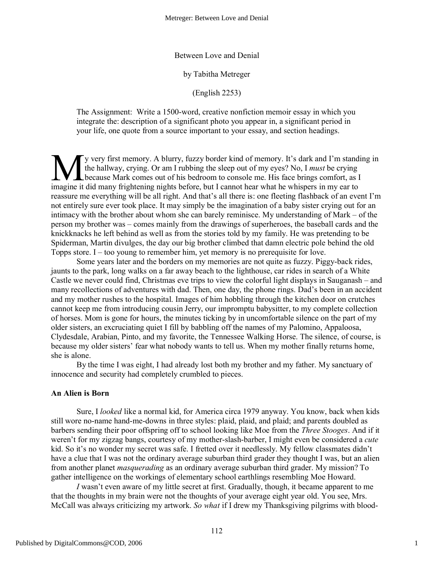Between Love and Denial

by Tabitha Metreger

(English 2253)

The Assignment: Write a 1500-word, creative nonfiction memoir essay in which you integrate the: description of a significant photo you appear in, a significant period in your life, one quote from a source important to your essay, and section headings.

y very first memory. A blurry, fuzzy border kind of memory. It's dark and I'm standing in the hallway, crying. Or am I rubbing the sleep out of my eyes? No, I *must* be crying because Mark comes out of his bedroom to console me. His face brings comfort, as I If y very first memory. A blurry, fuzzy border kind of memory. It's dark and I'm stand the hallway, crying. Or am I rubbing the sleep out of my eyes? No, I *must* be crying because Mark comes out of his bedroom to console reassure me everything will be all right. And that's all there is: one fleeting flashback of an event I'm not entirely sure ever took place. It may simply be the imagination of a baby sister crying out for an intimacy with the brother about whom she can barely reminisce. My understanding of Mark – of the person my brother was – comes mainly from the drawings of superheroes, the baseball cards and the knickknacks he left behind as well as from the stories told by my family. He was pretending to be Spiderman, Martin divulges, the day our big brother climbed that damn electric pole behind the old Topps store. I – too young to remember him, yet memory is no prerequisite for love.

Some years later and the borders on my memories are not quite as fuzzy. Piggy-back rides, jaunts to the park, long walks on a far away beach to the lighthouse, car rides in search of a White Castle we never could find, Christmas eve trips to view the colorful light displays in Sauganash – and many recollections of adventures with dad. Then, one day, the phone rings. Dad's been in an accident and my mother rushes to the hospital. Images of him hobbling through the kitchen door on crutches cannot keep me from introducing cousin Jerry, our impromptu babysitter, to my complete collection of horses. Mom is gone for hours, the minutes ticking by in uncomfortable silence on the part of my older sisters, an excruciating quiet I fill by babbling off the names of my Palomino, Appaloosa, Clydesdale, Arabian, Pinto, and my favorite, the Tennessee Walking Horse. The silence, of course, is because my older sisters' fear what nobody wants to tell us. When my mother finally returns home, she is alone.

By the time I was eight, I had already lost both my brother and my father. My sanctuary of innocence and security had completely crumbled to pieces.

#### **An Alien is Born**

Sure, I *looked* like a normal kid, for America circa 1979 anyway. You know, back when kids still wore no-name hand-me-downs in three styles: plaid, plaid, and plaid; and parents doubled as barbers sending their poor offspring off to school looking like Moe from the *Three Stooges*. And if it weren't for my zigzag bangs, courtesy of my mother-slash-barber, I might even be considered a *cute* kid. So it's no wonder my secret was safe. I fretted over it needlessly. My fellow classmates didn't have a clue that I was not the ordinary average suburban third grader they thought I was, but an alien from another planet *masquerading* as an ordinary average suburban third grader. My mission? To gather intelligence on the workings of elementary school earthlings resembling Moe Howard.

*I* wasn't even aware of my little secret at first. Gradually, though, it became apparent to me that the thoughts in my brain were not the thoughts of your average eight year old. You see, Mrs. McCall was always criticizing my artwork. *So what* if I drew my Thanksgiving pilgrims with blood-

1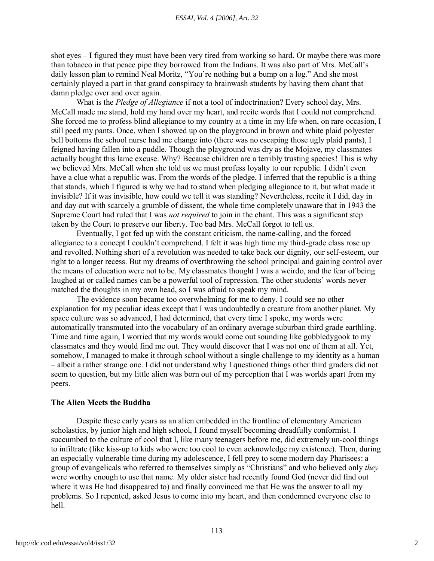shot eyes – I figured they must have been very tired from working so hard. Or maybe there was more than tobacco in that peace pipe they borrowed from the Indians. It was also part of Mrs. McCall's daily lesson plan to remind Neal Moritz, "You're nothing but a bump on a log." And she most certainly played a part in that grand conspiracy to brainwash students by having them chant that damn pledge over and over again.

What is the *Pledge of Allegiance* if not a tool of indoctrination? Every school day, Mrs. McCall made me stand, hold my hand over my heart, and recite words that I could not comprehend. She forced me to profess blind allegiance to my country at a time in my life when, on rare occasion, I still peed my pants. Once, when I showed up on the playground in brown and white plaid polyester bell bottoms the school nurse had me change into (there was no escaping those ugly plaid pants), I feigned having fallen into a puddle. Though the playground was dry as the Mojave, my classmates actually bought this lame excuse. Why? Because children are a terribly trusting species! This is why we believed Mrs. McCall when she told us we must profess loyalty to our republic. I didn't even have a clue what a republic was. From the words of the pledge, I inferred that the republic is a thing that stands, which I figured is why we had to stand when pledging allegiance to it, but what made it invisible? If it was invisible, how could we tell it was standing? Nevertheless, recite it I did, day in and day out with scarcely a grumble of dissent, the whole time completely unaware that in 1943 the Supreme Court had ruled that I was *not required* to join in the chant. This was a significant step taken by the Court to preserve our liberty. Too bad Mrs. McCall forgot to tell us.

Eventually, I got fed up with the constant criticism, the name-calling, and the forced allegiance to a concept I couldn't comprehend. I felt it was high time my third-grade class rose up and revolted. Nothing short of a revolution was needed to take back our dignity, our self-esteem, our right to a longer recess. But my dreams of overthrowing the school principal and gaining control over the means of education were not to be. My classmates thought I was a weirdo, and the fear of being laughed at or called names can be a powerful tool of repression. The other students' words never matched the thoughts in my own head, so I was afraid to speak my mind.

The evidence soon became too overwhelming for me to deny. I could see no other explanation for my peculiar ideas except that I was undoubtedly a creature from another planet. My space culture was so advanced, I had determined, that every time I spoke, my words were automatically transmuted into the vocabulary of an ordinary average suburban third grade earthling. Time and time again, I worried that my words would come out sounding like gobbledygook to my classmates and they would find me out. They would discover that I was not one of them at all. Yet, somehow, I managed to make it through school without a single challenge to my identity as a human – albeit a rather strange one. I did not understand why I questioned things other third graders did not seem to question, but my little alien was born out of my perception that I was worlds apart from my peers.

#### **The Alien Meets the Buddha**

Despite these early years as an alien embedded in the frontline of elementary American scholastics, by junior high and high school, I found myself becoming dreadfully conformist. I succumbed to the culture of cool that I, like many teenagers before me, did extremely un-cool things to infiltrate (like kiss-up to kids who were too cool to even acknowledge my existence). Then, during an especially vulnerable time during my adolescence, I fell prey to some modern day Pharisees: a group of evangelicals who referred to themselves simply as "Christians" and who believed only *they* were worthy enough to use that name. My older sister had recently found God (never did find out where it was He had disappeared to) and finally convinced me that He was the answer to all my problems. So I repented, asked Jesus to come into my heart, and then condemned everyone else to hell.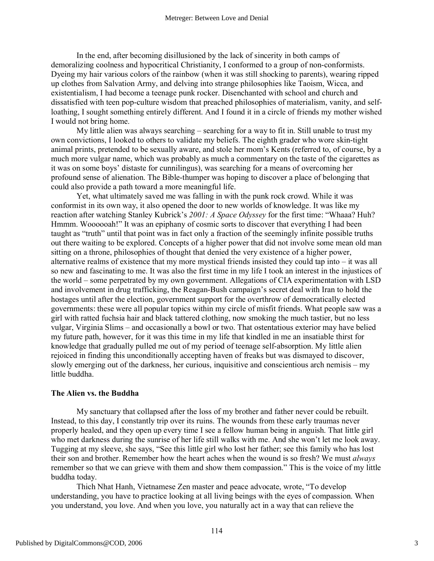In the end, after becoming disillusioned by the lack of sincerity in both camps of demoralizing coolness and hypocritical Christianity, I conformed to a group of non-conformists. Dyeing my hair various colors of the rainbow (when it was still shocking to parents), wearing ripped up clothes from Salvation Army, and delving into strange philosophies like Taoism, Wicca, and existentialism, I had become a teenage punk rocker. Disenchanted with school and church and dissatisfied with teen pop-culture wisdom that preached philosophies of materialism, vanity, and selfloathing, I sought something entirely different. And I found it in a circle of friends my mother wished I would not bring home.

My little alien was always searching – searching for a way to fit in. Still unable to trust my own convictions, I looked to others to validate my beliefs. The eighth grader who wore skin-tight animal prints, pretended to be sexually aware, and stole her mom's Kents (referred to, of course, by a much more vulgar name, which was probably as much a commentary on the taste of the cigarettes as it was on some boys' distaste for cunnilingus), was searching for a means of overcoming her profound sense of alienation. The Bible-thumper was hoping to discover a place of belonging that could also provide a path toward a more meaningful life.

Yet, what ultimately saved me was falling in with the punk rock crowd. While it was conformist in its own way, it also opened the door to new worlds of knowledge. It was like my reaction after watching Stanley Kubrick's *2001: A Space Odyssey* for the first time: "Whaaa? Huh? Hmmm. Woooooah!" It was an epiphany of cosmic sorts to discover that everything I had been taught as "truth" until that point was in fact only a fraction of the seemingly infinite possible truths out there waiting to be explored. Concepts of a higher power that did not involve some mean old man sitting on a throne, philosophies of thought that denied the very existence of a higher power, alternative realms of existence that my more mystical friends insisted they could tap into – it was all so new and fascinating to me. It was also the first time in my life I took an interest in the injustices of the world – some perpetrated by my own government. Allegations of CIA experimentation with LSD and involvement in drug trafficking, the Reagan-Bush campaign's secret deal with Iran to hold the hostages until after the election, government support for the overthrow of democratically elected governments: these were all popular topics within my circle of misfit friends. What people saw was a girl with ratted fuchsia hair and black tattered clothing, now smoking the much tastier, but no less vulgar, Virginia Slims – and occasionally a bowl or two. That ostentatious exterior may have belied my future path, however, for it was this time in my life that kindled in me an insatiable thirst for knowledge that gradually pulled me out of my period of teenage self-absorption. My little alien rejoiced in finding this unconditionally accepting haven of freaks but was dismayed to discover, slowly emerging out of the darkness, her curious, inquisitive and conscientious arch nemisis – my little buddha.

### **The Alien vs. the Buddha**

My sanctuary that collapsed after the loss of my brother and father never could be rebuilt. Instead, to this day, I constantly trip over its ruins. The wounds from these early traumas never properly healed, and they open up every time I see a fellow human being in anguish. That little girl who met darkness during the sunrise of her life still walks with me. And she won't let me look away. Tugging at my sleeve, she says, "See this little girl who lost her father; see this family who has lost their son and brother. Remember how the heart aches when the wound is so fresh? We must *always* remember so that we can grieve with them and show them compassion." This is the voice of my little buddha today.

Thich Nhat Hanh, Vietnamese Zen master and peace advocate, wrote, "To develop understanding, you have to practice looking at all living beings with the eyes of compassion. When you understand, you love. And when you love, you naturally act in a way that can relieve the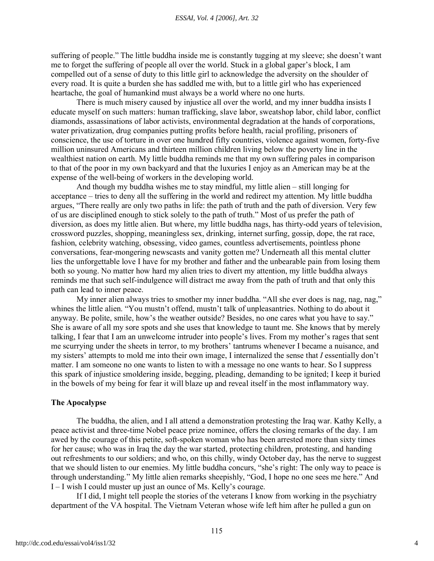suffering of people." The little buddha inside me is constantly tugging at my sleeve; she doesn't want me to forget the suffering of people all over the world. Stuck in a global gaper's block, I am compelled out of a sense of duty to this little girl to acknowledge the adversity on the shoulder of every road. It is quite a burden she has saddled me with, but to a little girl who has experienced heartache, the goal of humankind must always be a world where no one hurts.

There is much misery caused by injustice all over the world, and my inner buddha insists I educate myself on such matters: human trafficking, slave labor, sweatshop labor, child labor, conflict diamonds, assassinations of labor activists, environmental degradation at the hands of corporations, water privatization, drug companies putting profits before health, racial profiling, prisoners of conscience, the use of torture in over one hundred fifty countries, violence against women, forty-five million uninsured Americans and thirteen million children living below the poverty line in the wealthiest nation on earth. My little buddha reminds me that my own suffering pales in comparison to that of the poor in my own backyard and that the luxuries I enjoy as an American may be at the expense of the well-being of workers in the developing world.

And though my buddha wishes me to stay mindful, my little alien – still longing for acceptance – tries to deny all the suffering in the world and redirect my attention. My little buddha argues, "There really are only two paths in life: the path of truth and the path of diversion. Very few of us are disciplined enough to stick solely to the path of truth." Most of us prefer the path of diversion, as does my little alien. But where, my little buddha nags, has thirty-odd years of television, crossword puzzles, shopping, meaningless sex, drinking, internet surfing, gossip, dope, the rat race, fashion, celebrity watching, obsessing, video games, countless advertisements, pointless phone conversations, fear-mongering newscasts and vanity gotten me? Underneath all this mental clutter lies the unforgettable love I have for my brother and father and the unbearable pain from losing them both so young. No matter how hard my alien tries to divert my attention, my little buddha always reminds me that such self-indulgence will distract me away from the path of truth and that only this path can lead to inner peace.

My inner alien always tries to smother my inner buddha. "All she ever does is nag, nag, nag," whines the little alien. "You mustn't offend, mustn't talk of unpleasantries. Nothing to do about it anyway. Be polite, smile, how's the weather outside? Besides, no one cares what you have to say." She is aware of all my sore spots and she uses that knowledge to taunt me. She knows that by merely talking, I fear that I am an unwelcome intruder into people's lives. From my mother's rages that sent me scurrying under the sheets in terror, to my brothers' tantrums whenever I became a nuisance, and my sisters' attempts to mold me into their own image, I internalized the sense that *I* essentially don't matter. I am someone no one wants to listen to with a message no one wants to hear. So I suppress this spark of injustice smoldering inside, begging, pleading, demanding to be ignited; I keep it buried in the bowels of my being for fear it will blaze up and reveal itself in the most inflammatory way.

#### **The Apocalypse**

The buddha, the alien, and I all attend a demonstration protesting the Iraq war. Kathy Kelly, a peace activist and three-time Nobel peace prize nominee, offers the closing remarks of the day. I am awed by the courage of this petite, soft-spoken woman who has been arrested more than sixty times for her cause; who was in Iraq the day the war started, protecting children, protesting, and handing out refreshments to our soldiers; and who, on this chilly, windy October day, has the nerve to suggest that we should listen to our enemies. My little buddha concurs, "she's right: The only way to peace is through understanding." My little alien remarks sheepishly, "God, I hope no one sees me here." And I – I wish I could muster up just an ounce of Ms. Kelly's courage.

If I did, I might tell people the stories of the veterans I know from working in the psychiatry department of the VA hospital. The Vietnam Veteran whose wife left him after he pulled a gun on

4